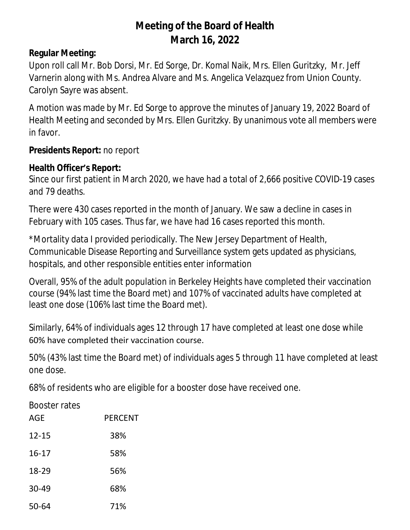# **Meeting of the Board of Health March 16, 2022**

### **Regular Meeting:**

Upon roll call Mr. Bob Dorsi, Mr. Ed Sorge, Dr. Komal Naik, Mrs. Ellen Guritzky, Mr. Jeff Varnerin along with Ms. Andrea Alvare and Ms. Angelica Velazquez from Union County. Carolyn Sayre was absent.

A motion was made by Mr. Ed Sorge to approve the minutes of January 19, 2022 Board of Health Meeting and seconded by Mrs. Ellen Guritzky. By unanimous vote all members were in favor.

#### **Presidents Report:** no report

#### **Health Officer's Report:**

Since our first patient in March 2020, we have had a total of 2,666 positive COVID-19 cases and 79 deaths.

There were 430 cases reported in the month of January. We saw a decline in cases in February with 105 cases. Thus far, we have had 16 cases reported this month.

\*Mortality data I provided periodically. The New Jersey Department of Health, Communicable Disease Reporting and Surveillance system gets updated as physicians, hospitals, and other responsible entities enter information

Overall, 95% of the adult population in Berkeley Heights have completed their vaccination course (94% last time the Board met) and 107% of vaccinated adults have completed at least one dose (106% last time the Board met).

Similarly, 64% of individuals ages 12 through 17 have completed at least one dose while 60% have completed their vaccination course.

50% (43% last time the Board met) of individuals ages 5 through 11 have completed at least one dose.

68% of residents who are eligible for a booster dose have received one.

Booster rates

| AGE       | <b>PERCENT</b> |
|-----------|----------------|
| $12 - 15$ | 38%            |
| $16 - 17$ | 58%            |
| 18-29     | 56%            |
| 30-49     | 68%            |
| 50-64     | 71%            |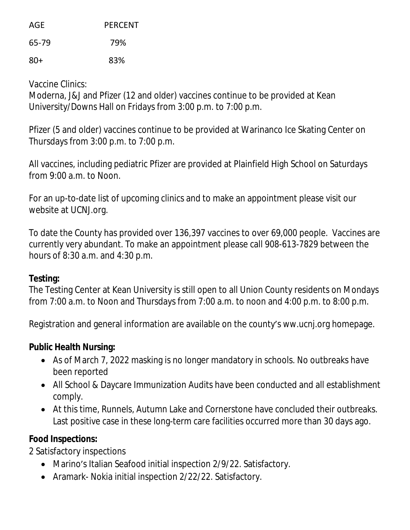AGE PERCENT 65-79 79% 80+ 83%

Vaccine Clinics:

Moderna, J&J and Pfizer (12 and older) vaccines continue to be provided at Kean University/Downs Hall on Fridays from 3:00 p.m. to 7:00 p.m.

Pfizer (5 and older) vaccines continue to be provided at Warinanco Ice Skating Center on Thursdays from 3:00 p.m. to 7:00 p.m.

All vaccines, including pediatric Pfizer are provided at Plainfield High School on Saturdays from 9:00 a.m. to Noon.

For an up-to-date list of upcoming clinics and to make an appointment please visit our website at UCNJ.org.

To date the County has provided over 136,397 vaccines to over 69,000 people. Vaccines are currently very abundant. To make an appointment please call 908-613-7829 between the hours of 8:30 a.m. and 4:30 p.m.

#### **Testing:**

The Testing Center at Kean University is still open to all Union County residents on Mondays from 7:00 a.m. to Noon and Thursdays from 7:00 a.m. to noon and 4:00 p.m. to 8:00 p.m.

Registration and general information are available on the county's ww.ucnj.org homepage.

# **Public Health Nursing:**

- As of March 7, 2022 masking is no longer mandatory in schools. No outbreaks have been reported
- All School & Daycare Immunization Audits have been conducted and all establishment comply.
- At this time, Runnels, Autumn Lake and Cornerstone have concluded their outbreaks. Last positive case in these long-term care facilities occurred more than 30 days ago.

# **Food Inspections:**

2 Satisfactory inspections

- Marino's Italian Seafood initial inspection 2/9/22. Satisfactory.
- Aramark- Nokia initial inspection 2/22/22. Satisfactory.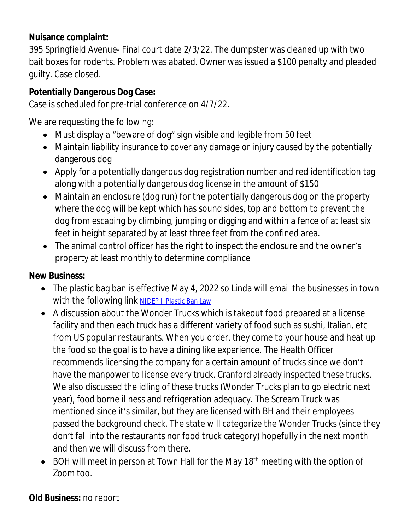### **Nuisance complaint:**

395 Springfield Avenue- Final court date 2/3/22. The dumpster was cleaned up with two bait boxes for rodents. Problem was abated. Owner was issued a \$100 penalty and pleaded guilty. Case closed.

# **Potentially Dangerous Dog Case:**

Case is scheduled for pre-trial conference on 4/7/22.

We are requesting the following:

- Must display a "beware of dog" sign visible and legible from 50 feet
- Maintain liability insurance to cover any damage or injury caused by the potentially dangerous dog
- Apply for a potentially dangerous dog registration number and red identification tag along with a potentially dangerous dog license in the amount of \$150
- Maintain an enclosure (dog run) for the potentially dangerous dog on the property where the dog will be kept which has sound sides, top and bottom to prevent the dog from escaping by climbing, jumping or digging and within a fence of at least six feet in height separated by at least three feet from the confined area.
- The animal control officer has the right to inspect the enclosure and the owner's property at least monthly to determine compliance

# **New Business:**

- The plastic bag ban is effective May 4, 2022 so Linda will email the businesses in town with the following link [NJDEP | Plastic Ban Law](https://www.nj.gov/dep/plastic-ban-law/#single_use_bags)
- A discussion about the Wonder Trucks which is takeout food prepared at a license facility and then each truck has a different variety of food such as sushi, Italian, etc from US popular restaurants. When you order, they come to your house and heat up the food so the goal is to have a dining like experience. The Health Officer recommends licensing the company for a certain amount of trucks since we don't have the manpower to license every truck. Cranford already inspected these trucks. We also discussed the idling of these trucks (Wonder Trucks plan to go electric next year), food borne illness and refrigeration adequacy. The Scream Truck was mentioned since it's similar, but they are licensed with BH and their employees passed the background check. The state will categorize the Wonder Trucks (since they don't fall into the restaurants nor food truck category) hopefully in the next month and then we will discuss from there.
- BOH will meet in person at Town Hall for the May 18<sup>th</sup> meeting with the option of Zoom too.